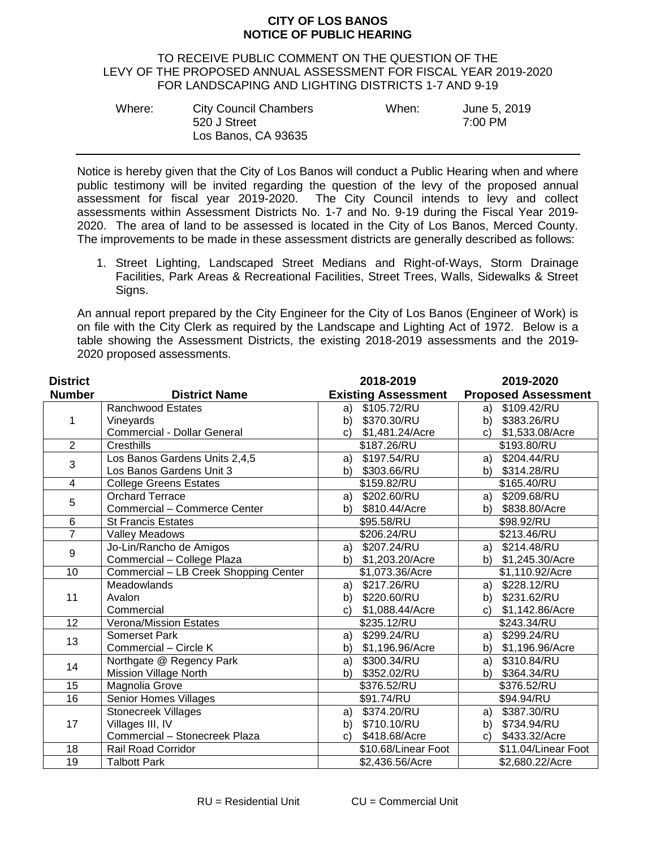## **CITY OF LOS BANOS NOTICE OF PUBLIC HEARING**

## TO RECEIVE PUBLIC COMMENT ON THE QUESTION OF THE LEVY OF THE PROPOSED ANNUAL ASSESSMENT FOR FISCAL YEAR 2019-2020 FOR LANDSCAPING AND LIGHTING DISTRICTS 1-7 AND 9-19

| Where: | <b>City Council Chambers</b> | When: | June 5, 2019 |
|--------|------------------------------|-------|--------------|
|        | 520 J Street                 |       | 7:00 PM      |
|        | Los Banos, CA 93635          |       |              |

Notice is hereby given that the City of Los Banos will conduct a Public Hearing when and where public testimony will be invited regarding the question of the levy of the proposed annual assessment for fiscal year 2019-2020. The City Council intends to levy and collect assessments within Assessment Districts No. 1-7 and No. 9-19 during the Fiscal Year 2019- 2020. The area of land to be assessed is located in the City of Los Banos, Merced County. The improvements to be made in these assessment districts are generally described as follows:

1. Street Lighting, Landscaped Street Medians and Right-of-Ways, Storm Drainage Facilities, Park Areas & Recreational Facilities, Street Trees, Walls, Sidewalks & Street Signs.

An annual report prepared by the City Engineer for the City of Los Banos (Engineer of Work) is on file with the City Clerk as required by the Landscape and Lighting Act of 1972. Below is a table showing the Assessment Districts, the existing 2018-2019 assessments and the 2019- 2020 proposed assessments.

| <b>District</b>         |                                       | 2018-2019                  | 2019-2020                  |
|-------------------------|---------------------------------------|----------------------------|----------------------------|
| <b>Number</b>           | <b>District Name</b>                  | <b>Existing Assessment</b> | <b>Proposed Assessment</b> |
| 1                       | <b>Ranchwood Estates</b>              | \$105.72/RU<br>a)          | \$109.42/RU<br>a)          |
|                         | Vineyards                             | \$370.30/RU<br>b)          | \$383.26/RU<br>b)          |
|                         | Commercial - Dollar General           | \$1,481.24/Acre<br>C)      | \$1,533.08/Acre<br>C)      |
| $\overline{2}$          | Cresthills                            | \$187.26/RU                | \$193.80/RU                |
| 3                       | Los Banos Gardens Units 2,4,5         | \$197.54/RU<br>a)          | \$204.44/RU<br>a)          |
|                         | Los Banos Gardens Unit 3              | \$303.66/RU<br>b)          | \$314.28/RU<br>b)          |
| $\overline{\mathbf{4}}$ | <b>College Greens Estates</b>         | \$159.82/RU                | \$165.40/RU                |
| 5                       | <b>Orchard Terrace</b>                | \$202.60/RU<br>a)          | \$209.68/RU<br>a)          |
|                         | Commercial - Commerce Center          | \$810.44/Acre<br>b)        | \$838.80/Acre<br>b)        |
| 6                       | <b>St Francis Estates</b>             | \$95.58/RU                 | \$98.92/RU                 |
| $\overline{7}$          | Valley Meadows                        | \$206.24/RU                | \$213.46/RU                |
| 9                       | Jo-Lin/Rancho de Amigos               | \$207.24/RU<br>a)          | a) \$214.48/RU             |
|                         | Commercial - College Plaza            | b) \$1,203.20/Acre         | b) \$1,245.30/Acre         |
| 10                      | Commercial - LB Creek Shopping Center | \$1,073.36/Acre            | \$1,110.92/Acre            |
| 11                      | Meadowlands                           | \$217.26/RU<br>a)          | \$228.12/RU<br>a)          |
|                         | Avalon                                | \$220.60/RU<br>b)          | \$231.62/RU<br>b)          |
|                         | Commercial                            | \$1,088.44/Acre<br>C)      | \$1,142.86/Acre<br>C)      |
| 12                      | <b>Verona/Mission Estates</b>         | \$235.12/RU                | \$243.34/RU                |
| 13                      | Somerset Park                         | \$299.24/RU<br>a)          | \$299.24/RU<br>a)          |
|                         | Commercial - Circle K                 | \$1,196.96/Acre<br>b)      | \$1,196.96/Acre<br>b)      |
| 14                      | Northgate @ Regency Park              | \$300.34/RU<br>a)          | \$310.84/RU<br>a)          |
|                         | <b>Mission Village North</b>          | \$352.02/RU<br>b)          | \$364.34/RU<br>b)          |
| 15                      | Magnolia Grove                        | \$376.52/RU                | \$376.52/RU                |
| 16                      | Senior Homes Villages                 | \$91.74/RU                 | \$94.94/RU                 |
| 17                      | Stonecreek Villages                   | \$374.20/RU<br>a)          | \$387.30/RU<br>a)          |
|                         | Villages III, IV                      | \$710.10/RU<br>b)          | \$734.94/RU<br>b)          |
|                         | Commercial - Stonecreek Plaza         | \$418.68/Acre<br>C)        | \$433.32/Acre<br>C)        |
| 18                      | <b>Rail Road Corridor</b>             | \$10.68/Linear Foot        | \$11.04/Linear Foot        |
| 19                      | <b>Talbott Park</b>                   | \$2,436.56/Acre            | \$2,680.22/Acre            |